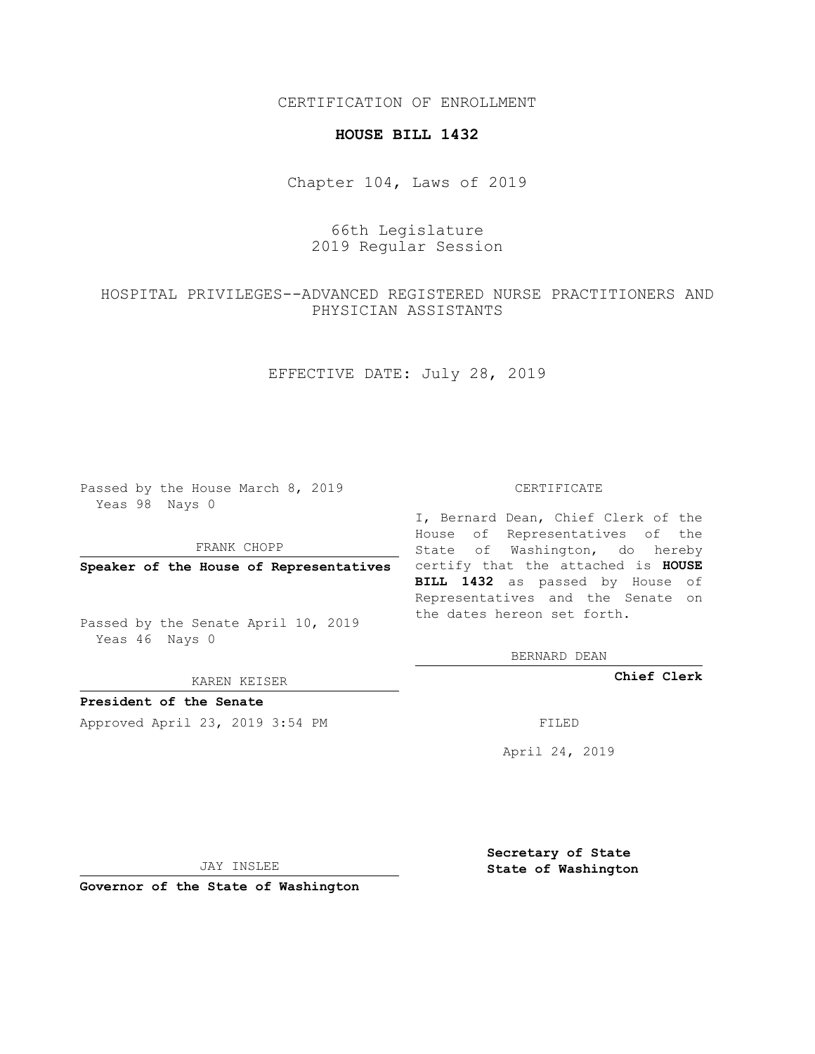CERTIFICATION OF ENROLLMENT

#### **HOUSE BILL 1432**

Chapter 104, Laws of 2019

# 66th Legislature 2019 Regular Session

# HOSPITAL PRIVILEGES--ADVANCED REGISTERED NURSE PRACTITIONERS AND PHYSICIAN ASSISTANTS

EFFECTIVE DATE: July 28, 2019

Passed by the House March 8, 2019 Yeas 98 Nays 0

FRANK CHOPP

Passed by the Senate April 10, 2019 Yeas 46 Nays 0

KAREN KEISER

**President of the Senate**

Approved April 23, 2019 3:54 PM FILED

#### CERTIFICATE

**Speaker of the House of Representatives** certify that the attached is **HOUSE** I, Bernard Dean, Chief Clerk of the House of Representatives of the State of Washington, do hereby **BILL 1432** as passed by House of Representatives and the Senate on the dates hereon set forth.

BERNARD DEAN

**Chief Clerk**

April 24, 2019

JAY INSLEE

**Governor of the State of Washington**

**Secretary of State State of Washington**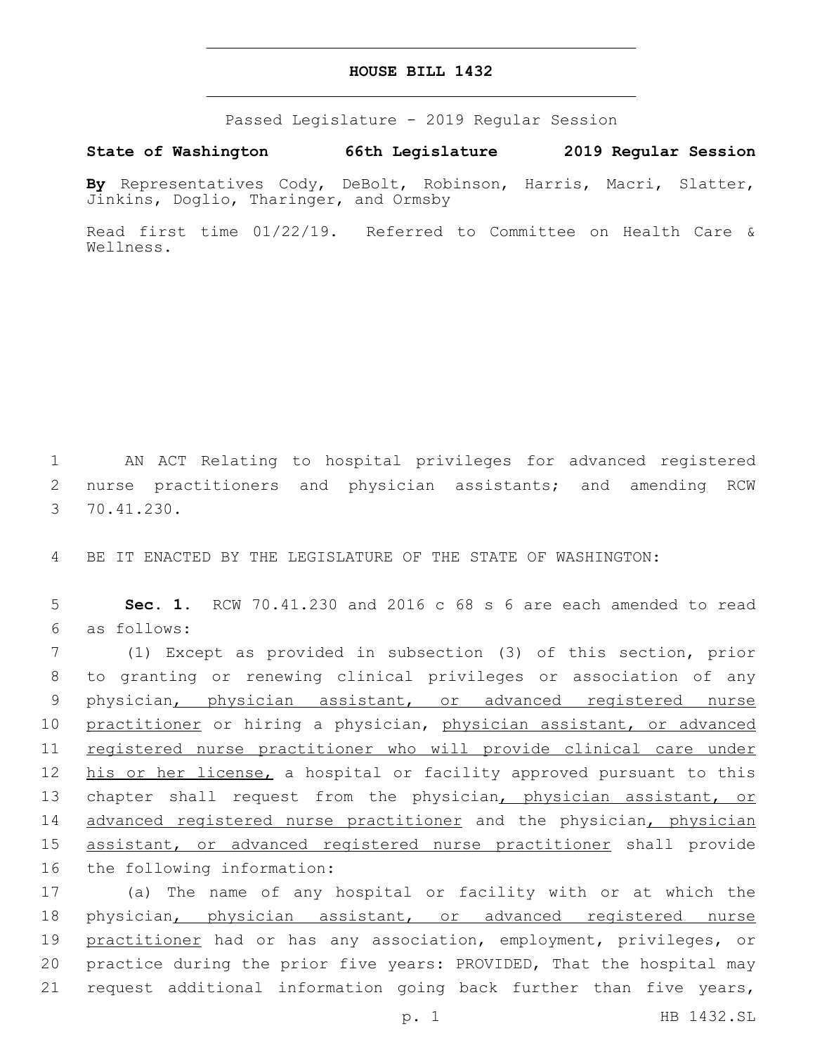### **HOUSE BILL 1432**

Passed Legislature - 2019 Regular Session

**State of Washington 66th Legislature 2019 Regular Session**

**By** Representatives Cody, DeBolt, Robinson, Harris, Macri, Slatter, Jinkins, Doglio, Tharinger, and Ormsby

Read first time 01/22/19. Referred to Committee on Health Care & Wellness.

1 AN ACT Relating to hospital privileges for advanced registered 2 nurse practitioners and physician assistants; and amending RCW 70.41.230.3

4 BE IT ENACTED BY THE LEGISLATURE OF THE STATE OF WASHINGTON:

5 **Sec. 1.** RCW 70.41.230 and 2016 c 68 s 6 are each amended to read as follows:6

7 (1) Except as provided in subsection (3) of this section, prior 8 to granting or renewing clinical privileges or association of any 9 physician, physician assistant, or advanced registered nurse 10 practitioner or hiring a physician, physician assistant, or advanced 11 registered nurse practitioner who will provide clinical care under 12 his or her license, a hospital or facility approved pursuant to this 13 chapter shall request from the physician, physician assistant, or 14 advanced registered nurse practitioner and the physician, physician 15 assistant, or advanced registered nurse practitioner shall provide 16 the following information:

 (a) The name of any hospital or facility with or at which the physician, physician assistant, or advanced registered nurse 19 practitioner had or has any association, employment, privileges, or practice during the prior five years: PROVIDED, That the hospital may request additional information going back further than five years,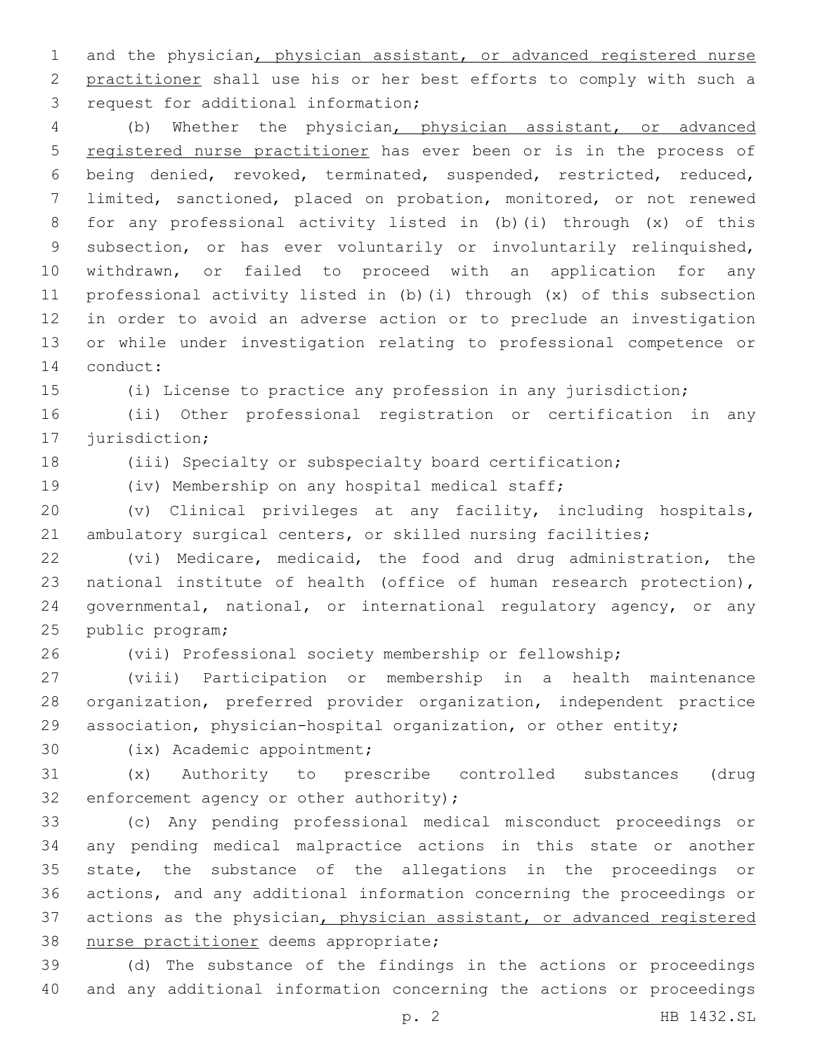1 and the physician, physician assistant, or advanced registered nurse practitioner shall use his or her best efforts to comply with such a 3 request for additional information;

 (b) Whether the physician, physician assistant, or advanced registered nurse practitioner has ever been or is in the process of being denied, revoked, terminated, suspended, restricted, reduced, limited, sanctioned, placed on probation, monitored, or not renewed for any professional activity listed in (b)(i) through (x) of this subsection, or has ever voluntarily or involuntarily relinquished, withdrawn, or failed to proceed with an application for any professional activity listed in (b)(i) through (x) of this subsection in order to avoid an adverse action or to preclude an investigation or while under investigation relating to professional competence or 14 conduct:

(i) License to practice any profession in any jurisdiction;

 (ii) Other professional registration or certification in any 17 jurisdiction;

(iii) Specialty or subspecialty board certification;

(iv) Membership on any hospital medical staff;

 (v) Clinical privileges at any facility, including hospitals, ambulatory surgical centers, or skilled nursing facilities;

 (vi) Medicare, medicaid, the food and drug administration, the national institute of health (office of human research protection), governmental, national, or international regulatory agency, or any 25 public program;

(vii) Professional society membership or fellowship;

 (viii) Participation or membership in a health maintenance organization, preferred provider organization, independent practice association, physician-hospital organization, or other entity;

30 (ix) Academic appointment;

 (x) Authority to prescribe controlled substances (drug 32 enforcement agency or other authority);

 (c) Any pending professional medical misconduct proceedings or any pending medical malpractice actions in this state or another state, the substance of the allegations in the proceedings or actions, and any additional information concerning the proceedings or actions as the physician, physician assistant, or advanced registered 38 nurse practitioner deems appropriate;

 (d) The substance of the findings in the actions or proceedings and any additional information concerning the actions or proceedings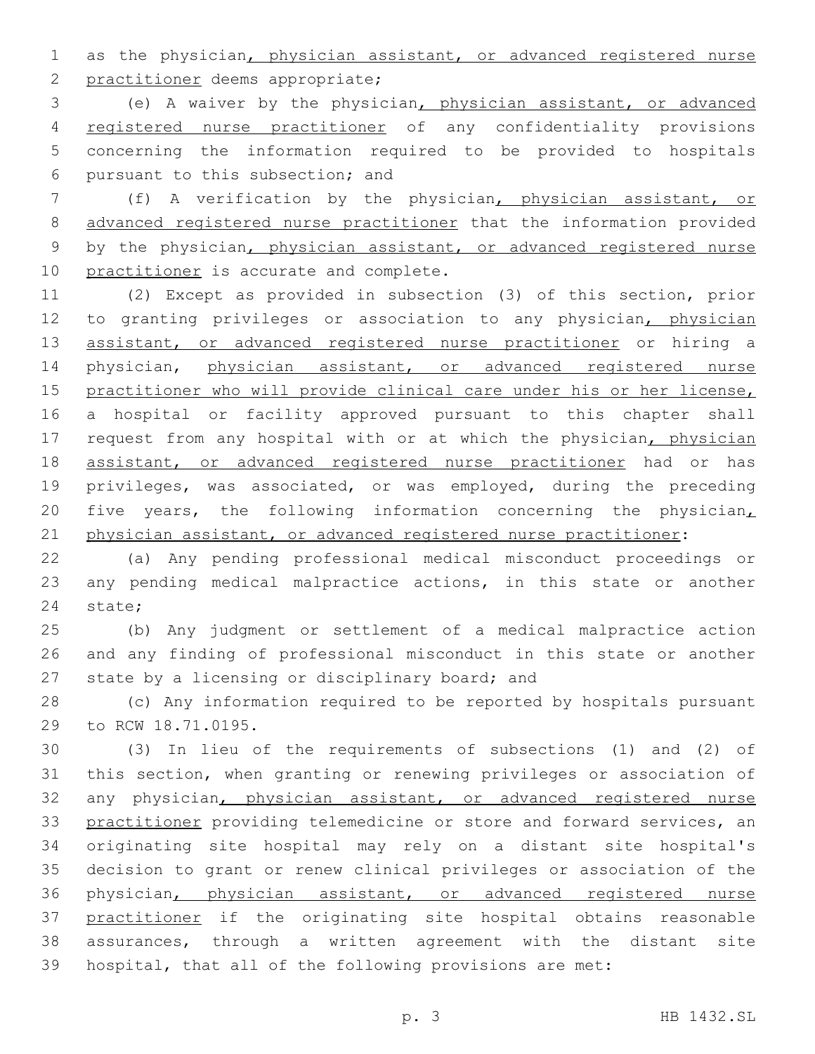as the physician, physician assistant, or advanced registered nurse 2 practitioner deems appropriate;

 (e) A waiver by the physician, physician assistant, or advanced registered nurse practitioner of any confidentiality provisions concerning the information required to be provided to hospitals pursuant to this subsection; and6

 (f) A verification by the physician, physician assistant, or advanced registered nurse practitioner that the information provided by the physician, physician assistant, or advanced registered nurse 10 practitioner is accurate and complete.

 (2) Except as provided in subsection (3) of this section, prior 12 to granting privileges or association to any physician, physician 13 assistant, or advanced registered nurse practitioner or hiring a 14 physician, physician assistant, or advanced registered nurse practitioner who will provide clinical care under his or her license, a hospital or facility approved pursuant to this chapter shall 17 request from any hospital with or at which the physician, physician 18 assistant, or advanced registered nurse practitioner had or has privileges, was associated, or was employed, during the preceding 20 five years, the following information concerning the physician, physician assistant, or advanced registered nurse practitioner:

 (a) Any pending professional medical misconduct proceedings or any pending medical malpractice actions, in this state or another 24 state;

 (b) Any judgment or settlement of a medical malpractice action and any finding of professional misconduct in this state or another 27 state by a licensing or disciplinary board; and

 (c) Any information required to be reported by hospitals pursuant 29 to RCW 18.71.0195.

 (3) In lieu of the requirements of subsections (1) and (2) of this section, when granting or renewing privileges or association of any physician, physician assistant, or advanced registered nurse practitioner providing telemedicine or store and forward services, an originating site hospital may rely on a distant site hospital's decision to grant or renew clinical privileges or association of the physician, physician assistant, or advanced registered nurse practitioner if the originating site hospital obtains reasonable assurances, through a written agreement with the distant site hospital, that all of the following provisions are met: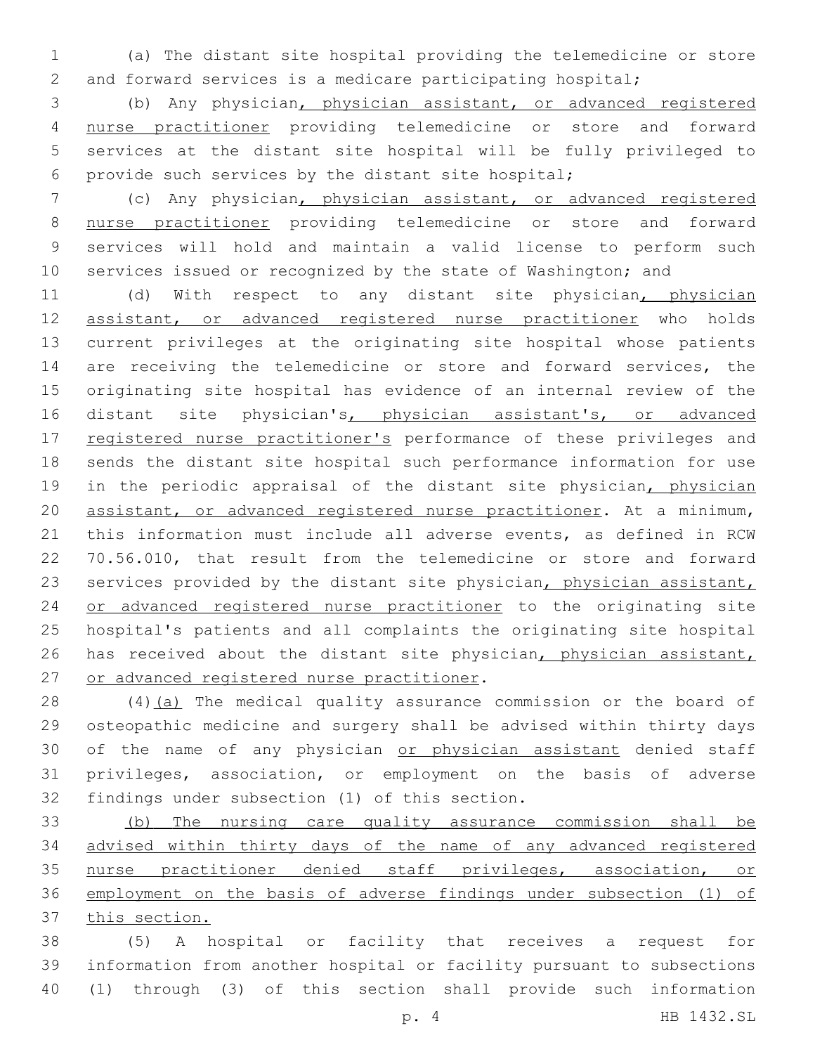(a) The distant site hospital providing the telemedicine or store and forward services is a medicare participating hospital;

 (b) Any physician, physician assistant, or advanced registered nurse practitioner providing telemedicine or store and forward services at the distant site hospital will be fully privileged to provide such services by the distant site hospital;

 (c) Any physician, physician assistant, or advanced registered nurse practitioner providing telemedicine or store and forward services will hold and maintain a valid license to perform such services issued or recognized by the state of Washington; and

 (d) With respect to any distant site physician, physician assistant, or advanced registered nurse practitioner who holds current privileges at the originating site hospital whose patients 14 are receiving the telemedicine or store and forward services, the originating site hospital has evidence of an internal review of the 16 distant site physician's, physician assistant's, or advanced 17 registered nurse practitioner's performance of these privileges and sends the distant site hospital such performance information for use 19 in the periodic appraisal of the distant site physician, physician assistant, or advanced registered nurse practitioner. At a minimum, this information must include all adverse events, as defined in RCW 70.56.010, that result from the telemedicine or store and forward 23 services provided by the distant site physician, physician assistant, 24 or advanced registered nurse practitioner to the originating site hospital's patients and all complaints the originating site hospital 26 has received about the distant site physician, physician assistant, 27 or advanced registered nurse practitioner.

28 (4)(a) The medical quality assurance commission or the board of osteopathic medicine and surgery shall be advised within thirty days 30 of the name of any physician or physician assistant denied staff privileges, association, or employment on the basis of adverse 32 findings under subsection (1) of this section.

 (b) The nursing care quality assurance commission shall be advised within thirty days of the name of any advanced registered nurse practitioner denied staff privileges, association, or employment on the basis of adverse findings under subsection (1) of this section.

 (5) A hospital or facility that receives a request for information from another hospital or facility pursuant to subsections (1) through (3) of this section shall provide such information

p. 4 HB 1432.SL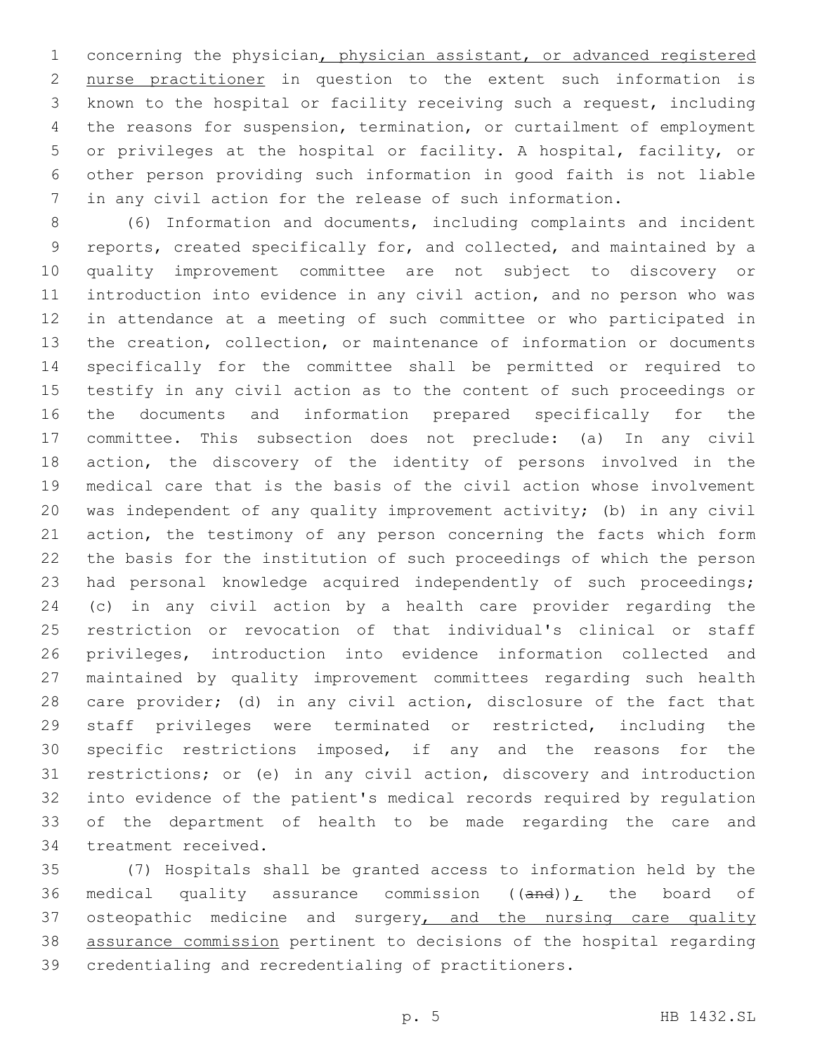concerning the physician, physician assistant, or advanced registered nurse practitioner in question to the extent such information is known to the hospital or facility receiving such a request, including the reasons for suspension, termination, or curtailment of employment or privileges at the hospital or facility. A hospital, facility, or other person providing such information in good faith is not liable in any civil action for the release of such information.

 (6) Information and documents, including complaints and incident reports, created specifically for, and collected, and maintained by a quality improvement committee are not subject to discovery or introduction into evidence in any civil action, and no person who was in attendance at a meeting of such committee or who participated in the creation, collection, or maintenance of information or documents specifically for the committee shall be permitted or required to testify in any civil action as to the content of such proceedings or the documents and information prepared specifically for the committee. This subsection does not preclude: (a) In any civil action, the discovery of the identity of persons involved in the medical care that is the basis of the civil action whose involvement was independent of any quality improvement activity; (b) in any civil action, the testimony of any person concerning the facts which form the basis for the institution of such proceedings of which the person had personal knowledge acquired independently of such proceedings; (c) in any civil action by a health care provider regarding the restriction or revocation of that individual's clinical or staff privileges, introduction into evidence information collected and maintained by quality improvement committees regarding such health care provider; (d) in any civil action, disclosure of the fact that staff privileges were terminated or restricted, including the specific restrictions imposed, if any and the reasons for the restrictions; or (e) in any civil action, discovery and introduction into evidence of the patient's medical records required by regulation of the department of health to be made regarding the care and 34 treatment received.

 (7) Hospitals shall be granted access to information held by the 36 medical quality assurance commission  $((and))_L$  the board of 37 osteopathic medicine and surgery, and the nursing care quality assurance commission pertinent to decisions of the hospital regarding credentialing and recredentialing of practitioners.